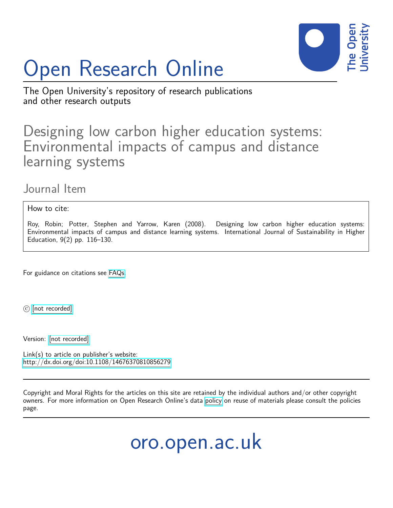

# Open Research Online

The Open University's repository of research publications and other research outputs

# Designing low carbon higher education systems: Environmental impacts of campus and distance learning systems

# Journal Item

How to cite:

Roy, Robin; Potter, Stephen and Yarrow, Karen (2008). Designing low carbon higher education systems: Environmental impacts of campus and distance learning systems. International Journal of Sustainability in Higher Education, 9(2) pp. 116–130.

For guidance on citations see [FAQs.](http://oro.open.ac.uk/help/helpfaq.html)

 $\circled{c}$  [\[not recorded\]](http://oro.open.ac.uk/help/helpfaq.html#Unrecorded_information_on_coversheet)

Version: [\[not recorded\]](http://oro.open.ac.uk/help/helpfaq.html#Unrecorded_information_on_coversheet)

Link(s) to article on publisher's website: <http://dx.doi.org/doi:10.1108/14676370810856279>

Copyright and Moral Rights for the articles on this site are retained by the individual authors and/or other copyright owners. For more information on Open Research Online's data [policy](http://oro.open.ac.uk/policies.html) on reuse of materials please consult the policies page.

oro.open.ac.uk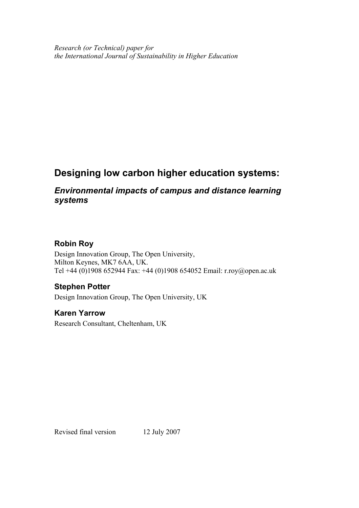*Research (or Technical) paper for the International Journal of Sustainability in Higher Education*

## **Designing low carbon higher education systems:**

## *Environmental impacts of campus and distance learning systems*

### **Robin Roy**

Design Innovation Group, The Open University, Milton Keynes, MK7 6AA, UK. Tel +44 (0)1908 652944 Fax: +44 (0)1908 654052 Email: r.roy@open.ac.uk

#### **Stephen Potter**

Design Innovation Group, The Open University, UK

#### **Karen Yarrow**

Research Consultant, Cheltenham, UK

Revised final version 12 July 2007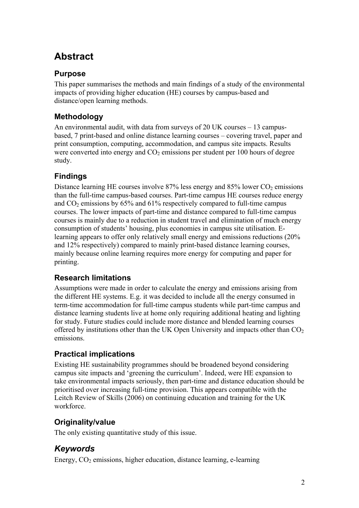# **Abstract**

### **Purpose**

This paper summarises the methods and main findings of a study of the environmental impacts of providing higher education (HE) courses by campus-based and distance/open learning methods.

## **Methodology**

An environmental audit, with data from surveys of 20 UK courses – 13 campusbased, 7 print-based and online distance learning courses – covering travel, paper and print consumption, computing, accommodation, and campus site impacts. Results were converted into energy and  $CO<sub>2</sub>$  emissions per student per 100 hours of degree study.

## **Findings**

Distance learning HE courses involve  $87\%$  less energy and  $85\%$  lower CO<sub>2</sub> emissions than the full-time campus-based courses. Part-time campus HE courses reduce energy and  $CO<sub>2</sub>$  emissions by 65% and 61% respectively compared to full-time campus courses. The lower impacts of part-time and distance compared to full-time campus courses is mainly due to a reduction in student travel and elimination of much energy consumption of students' housing, plus economies in campus site utilisation. Elearning appears to offer only relatively small energy and emissions reductions (20% and 12% respectively) compared to mainly print-based distance learning courses, mainly because online learning requires more energy for computing and paper for printing.

## **Research limitations**

Assumptions were made in order to calculate the energy and emissions arising from the different HE systems. E.g. it was decided to include all the energy consumed in term-time accommodation for full-time campus students while part-time campus and distance learning students live at home only requiring additional heating and lighting for study. Future studies could include more distance and blended learning courses offered by institutions other than the UK Open University and impacts other than  $CO<sub>2</sub>$ emissions.

## **Practical implications**

Existing HE sustainability programmes should be broadened beyond considering campus site impacts and 'greening the curriculum'. Indeed, were HE expansion to take environmental impacts seriously, then part-time and distance education should be prioritised over increasing full-time provision. This appears compatible with the Leitch Review of Skills (2006) on continuing education and training for the UK workforce.

## **Originality/value**

The only existing quantitative study of this issue.

## *Keywords*

Energy,  $CO<sub>2</sub>$  emissions, higher education, distance learning, e-learning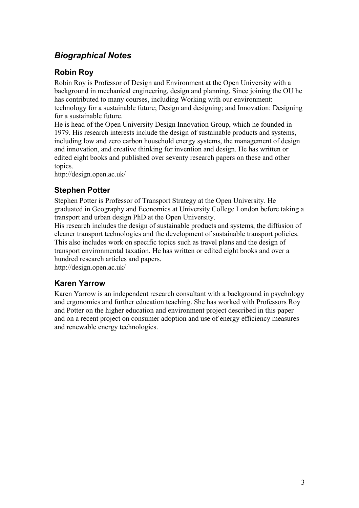## *Biographical Notes*

## **Robin Roy**

Robin Roy is Professor of Design and Environment at the Open University with a background in mechanical engineering, design and planning. Since joining the OU he has contributed to many courses, including Working with our environment: technology for a sustainable future; Design and designing; and Innovation: Designing for a sustainable future.

He is head of the Open University Design Innovation Group, which he founded in 1979. His research interests include the design of sustainable products and systems, including low and zero carbon household energy systems, the management of design and innovation, and creative thinking for invention and design. He has written or edited eight books and published over seventy research papers on these and other topics.

http://design.open.ac.uk/

### **Stephen Potter**

Stephen Potter is Professor of Transport Strategy at the Open University. He graduated in Geography and Economics at University College London before taking a transport and urban design PhD at the Open University.

His research includes the design of sustainable products and systems, the diffusion of cleaner transport technologies and the development of sustainable transport policies. This also includes work on specific topics such as travel plans and the design of transport environmental taxation. He has written or edited eight books and over a hundred research articles and papers.

http://design.open.ac.uk/

#### **Karen Yarrow**

Karen Yarrow is an independent research consultant with a background in psychology and ergonomics and further education teaching. She has worked with Professors Roy and Potter on the higher education and environment project described in this paper and on a recent project on consumer adoption and use of energy efficiency measures and renewable energy technologies.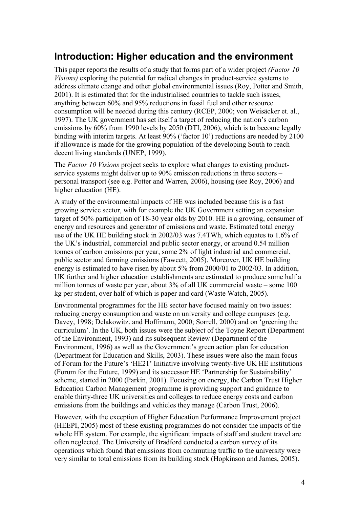## **Introduction: Higher education and the environment**

This paper reports the results of a study that forms part of a wider project *(Factor 10 Visions)* exploring the potential for radical changes in product-service systems to address climate change and other global environmental issues (Roy, Potter and Smith, 2001). It is estimated that for the industrialised countries to tackle such issues, anything between 60% and 95% reductions in fossil fuel and other resource consumption will be needed during this century (RCEP, 2000; von Weisäcker et. al., 1997). The UK government has set itself a target of reducing the nation's carbon emissions by 60% from 1990 levels by 2050 (DTI, 2006), which is to become legally binding with interim targets. At least 90% ('factor 10') reductions are needed by 2100 if allowance is made for the growing population of the developing South to reach decent living standards (UNEP, 1999).

The *Factor 10 Visions* project seeks to explore what changes to existing productservice systems might deliver up to 90% emission reductions in three sectors – personal transport (see e.g. Potter and Warren, 2006), housing (see Roy, 2006) and higher education (HE).

A study of the environmental impacts of HE was included because this is a fast growing service sector, with for example the UK Government setting an expansion target of 50% participation of 18-30 year olds by 2010. HE is a growing, consumer of energy and resources and generator of emissions and waste. Estimated total energy use of the UK HE building stock in 2002/03 was 7.4TWh, which equates to 1.6% of the UK's industrial, commercial and public sector energy, or around 0.54 million tonnes of carbon emissions per year, some 2% of light industrial and commercial, public sector and farming emissions (Fawcett, 2005). Moreover, UK HE building energy is estimated to have risen by about 5% from 2000/01 to 2002/03. In addition, UK further and higher education establishments are estimated to produce some half a million tonnes of waste per year, about 3% of all UK commercial waste – some 100 kg per student, over half of which is paper and card (Waste Watch, 2005).

Environmental programmes for the HE sector have focused mainly on two issues: reducing energy consumption and waste on university and college campuses (e.g. Davey, 1998; Delakowitz. and Hoffmann, 2000; Sorrell, 2000) and on 'greening the curriculum'. In the UK, both issues were the subject of the Toyne Report (Department of the Environment, 1993) and its subsequent Review (Department of the Environment, 1996) as well as the Government's green action plan for education (Department for Education and Skills, 2003). These issues were also the main focus of Forum for the Future's 'HE21' Initiative involving twenty-five UK HE institutions (Forum for the Future, 1999) and its successor HE 'Partnership for Sustainability' scheme, started in 2000 (Parkin, 2001). Focusing on energy, the Carbon Trust Higher Education Carbon Management programme is providing support and guidance to enable thirty-three UK universities and colleges to reduce energy costs and carbon emissions from the buildings and vehicles they manage (Carbon Trust, 2006).

However, with the exception of Higher Education Performance Improvement project (HEEPI, 2005) most of these existing programmes do not consider the impacts of the whole HE system. For example, the significant impacts of staff and student travel are often neglected. The University of Bradford conducted a carbon survey of its operations which found that emissions from commuting traffic to the university were very similar to total emissions from its building stock (Hopkinson and James, 2005).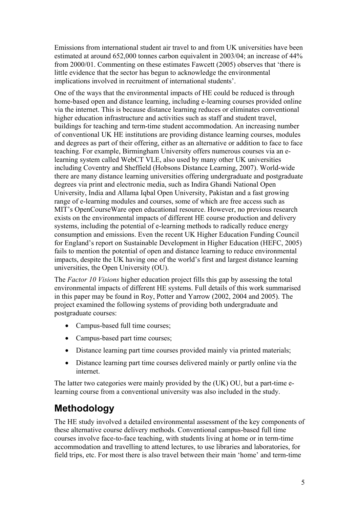Emissions from international student air travel to and from UK universities have been estimated at around 652,000 tonnes carbon equivalent in 2003/04; an increase of 44% from 2000/01. Commenting on these estimates Fawcett (2005) observes that 'there is little evidence that the sector has begun to acknowledge the environmental implications involved in recruitment of international students'.

One of the ways that the environmental impacts of HE could be reduced is through home-based open and distance learning, including e-learning courses provided online via the internet. This is because distance learning reduces or eliminates conventional higher education infrastructure and activities such as staff and student travel, buildings for teaching and term-time student accommodation. An increasing number of conventional UK HE institutions are providing distance learning courses, modules and degrees as part of their offering, either as an alternative or addition to face to face teaching. For example, Birmingham University offers numerous courses via an elearning system called WebCT VLE, also used by many other UK universities including Coventry and Sheffield (Hobsons Distance Learning, 2007). World-wide there are many distance learning universities offering undergraduate and postgraduate degrees via print and electronic media, such as Indira Ghandi National Open University, India and Allama Iqbal Open University, Pakistan and a fast growing range of e-learning modules and courses, some of which are free access such as MIT's OpenCourseWare open educational resource. However, no previous research exists on the environmental impacts of different HE course production and delivery systems, including the potential of e-learning methods to radically reduce energy consumption and emissions. Even the recent UK Higher Education Funding Council for England's report on Sustainable Development in Higher Education (HEFC, 2005) fails to mention the potential of open and distance learning to reduce environmental impacts, despite the UK having one of the world's first and largest distance learning universities, the Open University (OU).

The *Factor 10 Visions* higher education project fills this gap by assessing the total environmental impacts of different HE systems. Full details of this work summarised in this paper may be found in Roy, Potter and Yarrow (2002, 2004 and 2005). The project examined the following systems of providing both undergraduate and postgraduate courses:

- Campus-based full time courses;
- Campus-based part time courses;
- Distance learning part time courses provided mainly via printed materials;
- Distance learning part time courses delivered mainly or partly online via the internet.

The latter two categories were mainly provided by the (UK) OU, but a part-time elearning course from a conventional university was also included in the study.

## **Methodology**

The HE study involved a detailed environmental assessment of the key components of these alternative course delivery methods. Conventional campus-based full time courses involve face-to-face teaching, with students living at home or in term-time accommodation and travelling to attend lectures, to use libraries and laboratories, for field trips, etc. For most there is also travel between their main 'home' and term-time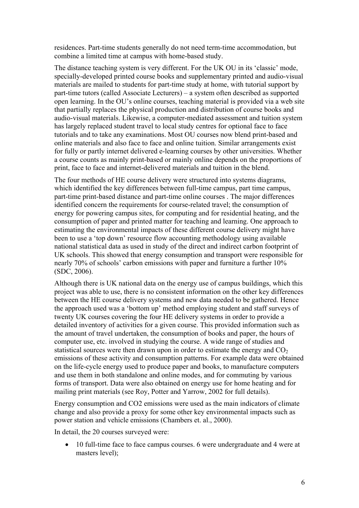residences. Part-time students generally do not need term-time accommodation, but combine a limited time at campus with home-based study.

The distance teaching system is very different. For the UK OU in its 'classic' mode, specially-developed printed course books and supplementary printed and audio-visual materials are mailed to students for part-time study at home, with tutorial support by part-time tutors (called Associate Lecturers) – a system often described as supported open learning. In the OU's online courses, teaching material is provided via a web site that partially replaces the physical production and distribution of course books and audio-visual materials. Likewise, a computer-mediated assessment and tuition system has largely replaced student travel to local study centres for optional face to face tutorials and to take any examinations. Most OU courses now blend print-based and online materials and also face to face and online tuition. Similar arrangements exist for fully or partly internet delivered e-learning courses by other universities. Whether a course counts as mainly print-based or mainly online depends on the proportions of print, face to face and internet-delivered materials and tuition in the blend.

The four methods of HE course delivery were structured into systems diagrams, which identified the key differences between full-time campus, part time campus, part-time print-based distance and part-time online courses . The major differences identified concern the requirements for course-related travel; the consumption of energy for powering campus sites, for computing and for residential heating, and the consumption of paper and printed matter for teaching and learning. One approach to estimating the environmental impacts of these different course delivery might have been to use a 'top down' resource flow accounting methodology using available national statistical data as used in study of the direct and indirect carbon footprint of UK schools. This showed that energy consumption and transport were responsible for nearly 70% of schools' carbon emissions with paper and furniture a further 10% (SDC, 2006).

Although there is UK national data on the energy use of campus buildings, which this project was able to use, there is no consistent information on the other key differences between the HE course delivery systems and new data needed to be gathered. Hence the approach used was a 'bottom up' method employing student and staff surveys of twenty UK courses covering the four HE delivery systems in order to provide a detailed inventory of activities for a given course. This provided information such as the amount of travel undertaken, the consumption of books and paper, the hours of computer use, etc. involved in studying the course. A wide range of studies and statistical sources were then drawn upon in order to estimate the energy and  $CO<sub>2</sub>$ emissions of these activity and consumption patterns. For example data were obtained on the life-cycle energy used to produce paper and books, to manufacture computers and use them in both standalone and online modes, and for commuting by various forms of transport. Data were also obtained on energy use for home heating and for mailing print materials (see Roy, Potter and Yarrow, 2002 for full details).

Energy consumption and CO2 emissions were used as the main indicators of climate change and also provide a proxy for some other key environmental impacts such as power station and vehicle emissions (Chambers et. al., 2000).

In detail, the 20 courses surveyed were:

• 10 full-time face to face campus courses. 6 were undergraduate and 4 were at masters level);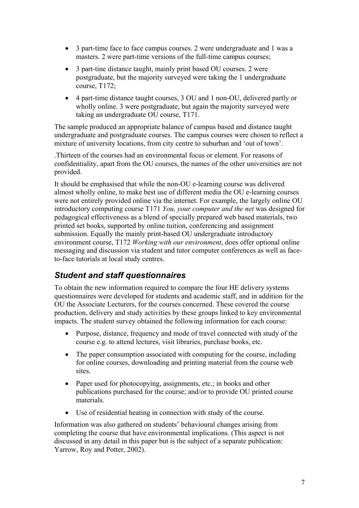- 3 part-time face to face campus courses. 2 were undergraduate and 1 was a masters. 2 were part-time versions of the full-time campus courses;
- 3 part-tine distance taught, mainly print based OU courses. 2 were postgraduate, but the majority surveyed were taking the 1 undergraduate course, T172;
- 4 part-time distance taught courses, 3 OU and 1 non-OU, delivered partly or wholly online. 3 were postgraduate, but again the majority surveyed were taking an undergraduate OU course, T171.

The sample produced an appropriate balance of campus based and distance taught undergraduate and postgraduate courses. The campus courses were chosen to reflect a mixture of university locations, from city centre to suburban and 'out of town'.

.Thirteen of the courses had an environmental focus or element. For reasons of confidentiality, apart from the OU courses, the names of the other universities are not provided.

It should be emphasised that while the non-OU e-learning course was delivered almost wholly online, to make best use of different media the OU e-learning courses were not entirely provided online via the internet. For example, the largely online OU introductory computing course T171 *You, your computer and the net* was designed for pedagogical effectiveness as a blend of specially prepared web based materials, two printed set books, supported by online tuition, conferencing and assignment submission. Equally the mainly print-based OU undergraduate introductory environment course, T172 *Working with our environment*, does offer optional online messaging and discussion via student and tutor computer conferences as well as faceto-face tutorials at local study centres.

## *Student and staff questionnaires*

To obtain the new information required to compare the four HE delivery systems questionnaires were developed for students and academic staff, and in addition for the OU the Associate Lecturers, for the courses concerned. These covered the course production, delivery and study activities by these groups linked to key environmental impacts. The student survey obtained the following information for each course:

- Purpose, distance, frequency and mode of travel connected with study of the course e.g. to attend lectures, visit libraries, purchase books, etc.
- The paper consumption associated with computing for the course, including for online courses, downloading and printing material from the course web sites.
- Paper used for photocopying, assignments, etc.; in books and other publications purchased for the course; and/or to provide OU printed course materials.
- Use of residential heating in connection with study of the course.

Information was also gathered on students' behavioural changes arising from completing the course that have environmental implications. (This aspect is not discussed in any detail in this paper but is the subject of a separate publication: Yarrow, Roy and Potter, 2002).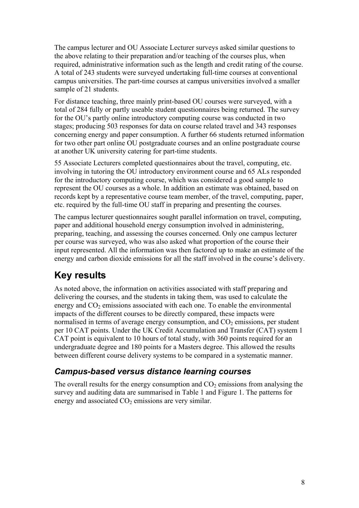The campus lecturer and OU Associate Lecturer surveys asked similar questions to the above relating to their preparation and/or teaching of the courses plus, when required, administrative information such as the length and credit rating of the course. A total of 243 students were surveyed undertaking full-time courses at conventional campus universities. The part-time courses at campus universities involved a smaller sample of 21 students.

For distance teaching, three mainly print-based OU courses were surveyed, with a total of 284 fully or partly useable student questionnaires being returned. The survey for the OU's partly online introductory computing course was conducted in two stages; producing 503 responses for data on course related travel and 343 responses concerning energy and paper consumption. A further 66 students returned information for two other part online OU postgraduate courses and an online postgraduate course at another UK university catering for part-time students.

55 Associate Lecturers completed questionnaires about the travel, computing, etc. involving in tutoring the OU introductory environment course and 65 ALs responded for the introductory computing course, which was considered a good sample to represent the OU courses as a whole. In addition an estimate was obtained, based on records kept by a representative course team member, of the travel, computing, paper, etc. required by the full-time OU staff in preparing and presenting the courses.

The campus lecturer questionnaires sought parallel information on travel, computing, paper and additional household energy consumption involved in administering, preparing, teaching, and assessing the courses concerned. Only one campus lecturer per course was surveyed, who was also asked what proportion of the course their input represented. All the information was then factored up to make an estimate of the energy and carbon dioxide emissions for all the staff involved in the course's delivery.

## **Key results**

As noted above, the information on activities associated with staff preparing and delivering the courses, and the students in taking them, was used to calculate the energy and  $CO<sub>2</sub>$  emissions associated with each one. To enable the environmental impacts of the different courses to be directly compared, these impacts were normalised in terms of average energy consumption, and  $CO<sub>2</sub>$  emissions, per student per 10 CAT points. Under the UK Credit Accumulation and Transfer (CAT) system 1 CAT point is equivalent to 10 hours of total study, with 360 points required for an undergraduate degree and 180 points for a Masters degree. This allowed the results between different course delivery systems to be compared in a systematic manner.

## *Campus-based versus distance learning courses*

The overall results for the energy consumption and  $CO<sub>2</sub>$  emissions from analysing the survey and auditing data are summarised in Table 1 and Figure 1. The patterns for energy and associated  $CO<sub>2</sub>$  emissions are very similar.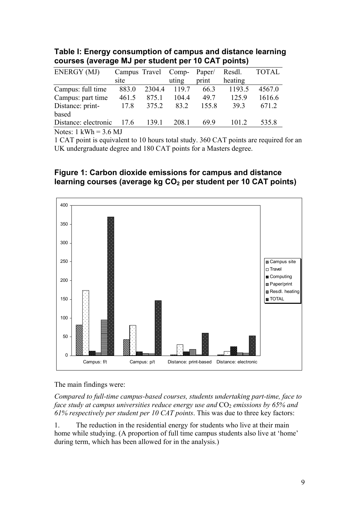**Table I: Energy consumption of campus and distance learning courses (average MJ per student per 10 CAT points)** 

| ENERGY (MJ)                  |       | Campus Travel Comp- |       | Paper/ | Resdl.  | <b>TOTAL</b> |
|------------------------------|-------|---------------------|-------|--------|---------|--------------|
|                              | site  |                     | uting | print  | heating |              |
| Campus: full time            | 883.0 | 2304.4              | 119.7 | 66.3   | 1193.5  | 4567.0       |
| Campus: part time            | 461.5 | 875.1               | 104.4 | 49.7   | 125.9   | 1616.6       |
| Distance: print-             | 17.8  | 375.2               | 83 2  | 155.8  | 39.3    | 671.2        |
| based                        |       |                     |       |        |         |              |
| Distance: electronic         | 17.6  | 139.1               | 208.1 | 69.9   | 101.2   | 535.8        |
| $N_{\alpha}$ 1 $kWh = 26 MI$ |       |                     |       |        |         |              |

Notes:  $1 \text{ kWh} = 3.6 \text{ MJ}$ 

1 CAT point is equivalent to 10 hours total study. 360 CAT points are required for an UK undergraduate degree and 180 CAT points for a Masters degree.

#### **Figure 1: Carbon dioxide emissions for campus and distance**  learning courses (average kg CO<sub>2</sub> per student per 10 CAT points)



The main findings were:

*Compared to full-time campus-based courses, students undertaking part-time, face to face study at campus universities reduce energy use and* CO<sub>2</sub> emissions by 65% and *61% respectively per student per 10 CAT points*. This was due to three key factors:

1. The reduction in the residential energy for students who live at their main home while studying. (A proportion of full time campus students also live at 'home' during term, which has been allowed for in the analysis.)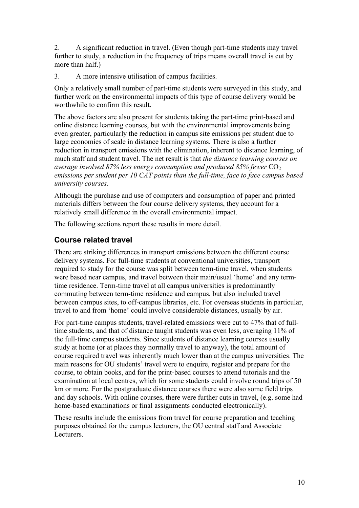2. A significant reduction in travel. (Even though part-time students may travel further to study, a reduction in the frequency of trips means overall travel is cut by more than half.)

3. A more intensive utilisation of campus facilities.

Only a relatively small number of part-time students were surveyed in this study, and further work on the environmental impacts of this type of course delivery would be worthwhile to confirm this result.

The above factors are also present for students taking the part-time print-based and online distance learning courses, but with the environmental improvements being even greater, particularly the reduction in campus site emissions per student due to large economies of scale in distance learning systems. There is also a further reduction in transport emissions with the elimination, inherent to distance learning, of much staff and student travel. The net result is that *the distance learning courses on average involved 87% less energy consumption and produced 85% fewer CO<sub>2</sub> emissions per student per 10 CAT points than the full-time, face to face campus based university courses*.

Although the purchase and use of computers and consumption of paper and printed materials differs between the four course delivery systems, they account for a relatively small difference in the overall environmental impact.

The following sections report these results in more detail.

#### **Course related travel**

There are striking differences in transport emissions between the different course delivery systems. For full-time students at conventional universities, transport required to study for the course was split between term-time travel, when students were based near campus, and travel between their main/usual 'home' and any termtime residence. Term-time travel at all campus universities is predominantly commuting between term-time residence and campus, but also included travel between campus sites, to off-campus libraries, etc. For overseas students in particular, travel to and from 'home' could involve considerable distances, usually by air.

For part-time campus students, travel-related emissions were cut to 47% that of fulltime students, and that of distance taught students was even less, averaging 11% of the full-time campus students. Since students of distance learning courses usually study at home (or at places they normally travel to anyway), the total amount of course required travel was inherently much lower than at the campus universities. The main reasons for OU students' travel were to enquire, register and prepare for the course, to obtain books, and for the print-based courses to attend tutorials and the examination at local centres, which for some students could involve round trips of 50 km or more. For the postgraduate distance courses there were also some field trips and day schools. With online courses, there were further cuts in travel, (e.g. some had home-based examinations or final assignments conducted electronically).

These results include the emissions from travel for course preparation and teaching purposes obtained for the campus lecturers, the OU central staff and Associate **Lecturers**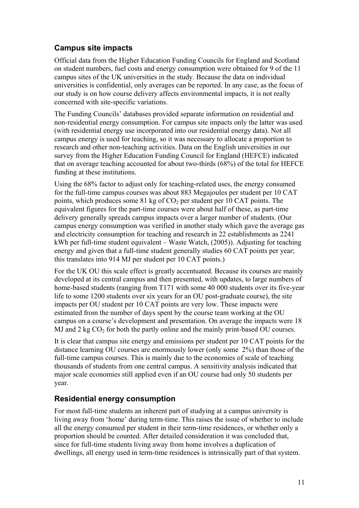## **Campus site impacts**

Official data from the Higher Education Funding Councils for England and Scotland on student numbers, fuel costs and energy consumption were obtained for 9 of the 11 campus sites of the UK universities in the study. Because the data on individual universities is confidential, only averages can be reported. In any case, as the focus of our study is on how course delivery affects environmental impacts, it is not really concerned with site-specific variations.

The Funding Councils' databases provided separate information on residential and non-residential energy consumption. For campus site impacts only the latter was used (with residential energy use incorporated into our residential energy data). Not all campus energy is used for teaching, so it was necessary to allocate a proportion to research and other non-teaching activities. Data on the English universities in our survey from the Higher Education Funding Council for England (HEFCE) indicated that on average teaching accounted for about two-thirds (68%) of the total for HEFCE funding at these institutions.

Using the 68% factor to adjust only for teaching-related uses, the energy consumed for the full-time campus courses was about 883 Megajoules per student per 10 CAT points, which produces some 81 kg of  $CO<sub>2</sub>$  per student per 10 CAT points. The equivalent figures for the part-time courses were about half of these, as part-time delivery generally spreads campus impacts over a larger number of students. (Our campus energy consumption was verified in another study which gave the average gas and electricity consumption for teaching and research in 22 establishments as 2241 kWh per full-time student equivalent – Waste Watch, (2005)). Adjusting for teaching energy and given that a full-time student generally studies 60 CAT points per year; this translates into 914 MJ per student per 10 CAT points.)

For the UK OU this scale effect is greatly accentuated. Because its courses are mainly developed at its central campus and then presented, with updates, to large numbers of home-based students (ranging from T171 with some 40 000 students over its five-year life to some 1200 students over six years for an OU post-graduate course), the site impacts per OU student per 10 CAT points are very low. These impacts were estimated from the number of days spent by the course team working at the OU campus on a course's development and presentation. On average the impacts were 18 MJ and  $2 \text{ kg CO}_2$  for both the partly online and the mainly print-based OU courses.

It is clear that campus site energy and emissions per student per 10 CAT points for the distance learning OU courses are enormously lower (only some 2%) than those of the full-time campus courses. This is mainly due to the economies of scale of teaching thousands of students from one central campus. A sensitivity analysis indicated that major scale economies still applied even if an OU course had only 50 students per year.

#### **Residential energy consumption**

For most full-time students an inherent part of studying at a campus university is living away from 'home' during term-time. This raises the issue of whether to include all the energy consumed per student in their term-time residences, or whether only a proportion should be counted. After detailed consideration it was concluded that, since for full-time students living away from home involves a duplication of dwellings, all energy used in term-time residences is intrinsically part of that system.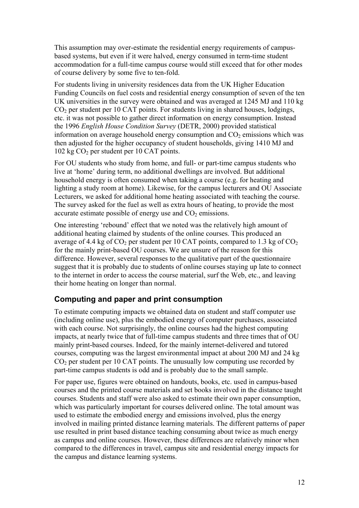This assumption may over-estimate the residential energy requirements of campusbased systems, but even if it were halved, energy consumed in term-time student accommodation for a full-time campus course would still exceed that for other modes of course delivery by some five to ten-fold.

For students living in university residences data from the UK Higher Education Funding Councils on fuel costs and residential energy consumption of seven of the ten UK universities in the survey were obtained and was averaged at 1245 MJ and 110 kg  $CO<sub>2</sub>$  per student per 10 CAT points. For students living in shared houses, lodgings, etc. it was not possible to gather direct information on energy consumption. Instead the 1996 *English House Condition Survey* (DETR, 2000) provided statistical information on average household energy consumption and  $CO<sub>2</sub>$  emissions which was then adjusted for the higher occupancy of student households, giving 1410 MJ and  $102 \text{ kg CO}_2$  per student per 10 CAT points.

For OU students who study from home, and full- or part-time campus students who live at 'home' during term, no additional dwellings are involved. But additional household energy is often consumed when taking a course (e.g. for heating and lighting a study room at home). Likewise, for the campus lecturers and OU Associate Lecturers, we asked for additional home heating associated with teaching the course. The survey asked for the fuel as well as extra hours of heating, to provide the most accurate estimate possible of energy use and  $CO<sub>2</sub>$  emissions.

One interesting 'rebound' effect that we noted was the relatively high amount of additional heating claimed by students of the online courses. This produced an average of 4.4 kg of  $CO<sub>2</sub>$  per student per 10 CAT points, compared to 1.3 kg of  $CO<sub>2</sub>$ for the mainly print-based OU courses. We are unsure of the reason for this difference. However, several responses to the qualitative part of the questionnaire suggest that it is probably due to students of online courses staying up late to connect to the internet in order to access the course material, surf the Web, etc., and leaving their home heating on longer than normal.

#### **Computing and paper and print consumption**

To estimate computing impacts we obtained data on student and staff computer use (including online use), plus the embodied energy of computer purchases, associated with each course. Not surprisingly, the online courses had the highest computing impacts, at nearly twice that of full-time campus students and three times that of OU mainly print-based courses. Indeed, for the mainly internet-delivered and tutored courses, computing was the largest environmental impact at about 200 MJ and 24 kg  $CO<sub>2</sub>$  per student per 10 CAT points. The unusually low computing use recorded by part-time campus students is odd and is probably due to the small sample.

For paper use, figures were obtained on handouts, books, etc. used in campus-based courses and the printed course materials and set books involved in the distance taught courses. Students and staff were also asked to estimate their own paper consumption, which was particularly important for courses delivered online. The total amount was used to estimate the embodied energy and emissions involved, plus the energy involved in mailing printed distance learning materials. The different patterns of paper use resulted in print based distance teaching consuming about twice as much energy as campus and online courses. However, these differences are relatively minor when compared to the differences in travel, campus site and residential energy impacts for the campus and distance learning systems.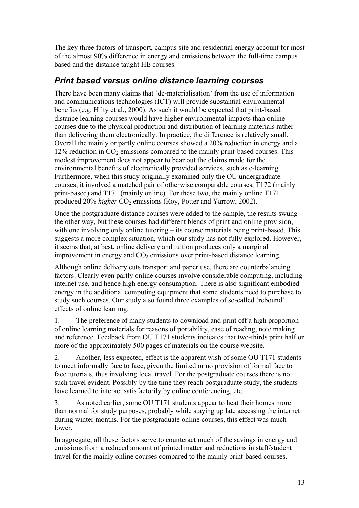The key three factors of transport, campus site and residential energy account for most of the almost 90% difference in energy and emissions between the full-time campus based and the distance taught HE courses.

## *Print based versus online distance learning courses*

There have been many claims that 'de-materialisation' from the use of information and communications technologies (ICT) will provide substantial environmental benefits (e.g. Hilty et al., 2000). As such it would be expected that print-based distance learning courses would have higher environmental impacts than online courses due to the physical production and distribution of learning materials rather than delivering them electronically. In practice, the difference is relatively small. Overall the mainly or partly online courses showed a 20% reduction in energy and a  $12\%$  reduction in  $CO<sub>2</sub>$  emissions compared to the mainly print-based courses. This modest improvement does not appear to bear out the claims made for the environmental benefits of electronically provided services, such as e-learning. Furthermore, when this study originally examined only the OU undergraduate courses, it involved a matched pair of otherwise comparable courses, T172 (mainly print-based) and T171 (mainly online). For these two, the mainly online T171 produced 20% *higher* CO<sub>2</sub> emissions (Roy, Potter and Yarrow, 2002).

Once the postgraduate distance courses were added to the sample, the results swung the other way, but these courses had different blends of print and online provision, with one involving only online tutoring – its course materials being print-based. This suggests a more complex situation, which our study has not fully explored. However, it seems that, at best, online delivery and tuition produces only a marginal improvement in energy and  $CO<sub>2</sub>$  emissions over print-based distance learning.

Although online delivery cuts transport and paper use, there are counterbalancing factors. Clearly even partly online courses involve considerable computing, including internet use, and hence high energy consumption. There is also significant embodied energy in the additional computing equipment that some students need to purchase to study such courses. Our study also found three examples of so-called 'rebound' effects of online learning:

1. The preference of many students to download and print off a high proportion of online learning materials for reasons of portability, ease of reading, note making and reference. Feedback from OU T171 students indicates that two-thirds print half or more of the approximately 500 pages of materials on the course website.

2. Another, less expected, effect is the apparent wish of some OU T171 students to meet informally face to face, given the limited or no provision of formal face to face tutorials, thus involving local travel. For the postgraduate courses there is no such travel evident. Possibly by the time they reach postgraduate study, the students have learned to interact satisfactorily by online conferencing, etc.

3. As noted earlier, some OU T171 students appear to heat their homes more than normal for study purposes, probably while staying up late accessing the internet during winter months. For the postgraduate online courses, this effect was much lower.

In aggregate, all these factors serve to counteract much of the savings in energy and emissions from a reduced amount of printed matter and reductions in staff/student travel for the mainly online courses compared to the mainly print-based courses.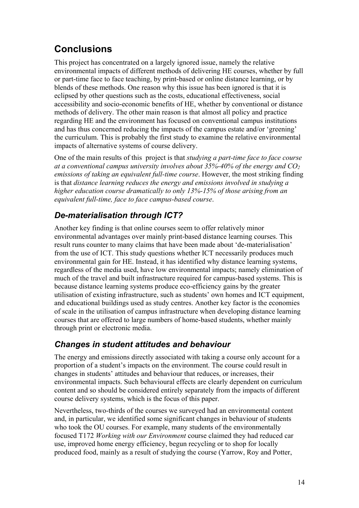## **Conclusions**

This project has concentrated on a largely ignored issue, namely the relative environmental impacts of different methods of delivering HE courses, whether by full or part-time face to face teaching, by print-based or online distance learning, or by blends of these methods. One reason why this issue has been ignored is that it is eclipsed by other questions such as the costs, educational effectiveness, social accessibility and socio-economic benefits of HE, whether by conventional or distance methods of delivery. The other main reason is that almost all policy and practice regarding HE and the environment has focused on conventional campus institutions and has thus concerned reducing the impacts of the campus estate and/or 'greening' the curriculum. This is probably the first study to examine the relative environmental impacts of alternative systems of course delivery.

One of the main results of this project is that *studying a part-time face to face course at a conventional campus university involves about 35%-40% of the energy and CO2 emissions of taking an equivalent full-time course*. However, the most striking finding is that *distance learning reduces the energy and emissions involved in studying a higher education course dramatically to only 13%-15% of those arising from an equivalent full-time, face to face campus-based course*.

## *De-materialisation through ICT?*

Another key finding is that online courses seem to offer relatively minor environmental advantages over mainly print-based distance learning courses. This result runs counter to many claims that have been made about 'de-materialisation' from the use of ICT. This study questions whether ICT necessarily produces much environmental gain for HE. Instead, it has identified why distance learning systems, regardless of the media used, have low environmental impacts; namely elimination of much of the travel and built infrastructure required for campus-based systems. This is because distance learning systems produce eco-efficiency gains by the greater utilisation of existing infrastructure, such as students' own homes and ICT equipment, and educational buildings used as study centres. Another key factor is the economies of scale in the utilisation of campus infrastructure when developing distance learning courses that are offered to large numbers of home-based students, whether mainly through print or electronic media.

## *Changes in student attitudes and behaviour*

The energy and emissions directly associated with taking a course only account for a proportion of a student's impacts on the environment. The course could result in changes in students' attitudes and behaviour that reduces, or increases, their environmental impacts. Such behavioural effects are clearly dependent on curriculum content and so should be considered entirely separately from the impacts of different course delivery systems, which is the focus of this paper.

Nevertheless, two-thirds of the courses we surveyed had an environmental content and, in particular, we identified some significant changes in behaviour of students who took the OU courses. For example, many students of the environmentally focused T172 *Working with our Environment* course claimed they had reduced car use, improved home energy efficiency, begun recycling or to shop for locally produced food, mainly as a result of studying the course (Yarrow, Roy and Potter,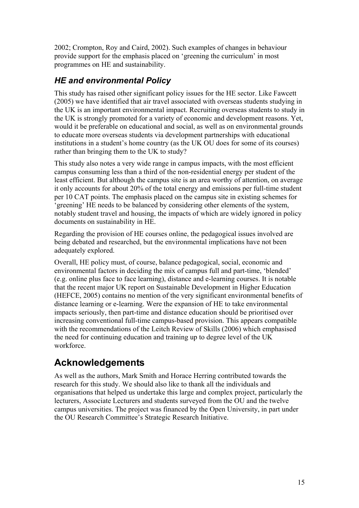2002; Crompton, Roy and Caird, 2002). Such examples of changes in behaviour provide support for the emphasis placed on 'greening the curriculum' in most programmes on HE and sustainability.

## *HE and environmental Policy*

This study has raised other significant policy issues for the HE sector. Like Fawcett (2005) we have identified that air travel associated with overseas students studying in the UK is an important environmental impact. Recruiting overseas students to study in the UK is strongly promoted for a variety of economic and development reasons. Yet, would it be preferable on educational and social, as well as on environmental grounds to educate more overseas students via development partnerships with educational institutions in a student's home country (as the UK OU does for some of its courses) rather than bringing them to the UK to study?

This study also notes a very wide range in campus impacts, with the most efficient campus consuming less than a third of the non-residential energy per student of the least efficient. But although the campus site is an area worthy of attention, on average it only accounts for about 20% of the total energy and emissions per full-time student per 10 CAT points. The emphasis placed on the campus site in existing schemes for 'greening' HE needs to be balanced by considering other elements of the system, notably student travel and housing, the impacts of which are widely ignored in policy documents on sustainability in HE.

Regarding the provision of HE courses online, the pedagogical issues involved are being debated and researched, but the environmental implications have not been adequately explored.

Overall, HE policy must, of course, balance pedagogical, social, economic and environmental factors in deciding the mix of campus full and part-time, 'blended' (e.g. online plus face to face learning), distance and e-learning courses. It is notable that the recent major UK report on Sustainable Development in Higher Education (HEFCE, 2005) contains no mention of the very significant environmental benefits of distance learning or e-learning. Were the expansion of HE to take environmental impacts seriously, then part-time and distance education should be prioritised over increasing conventional full-time campus-based provision. This appears compatible with the recommendations of the Leitch Review of Skills (2006) which emphasised the need for continuing education and training up to degree level of the UK workforce.

## **Acknowledgements**

As well as the authors, Mark Smith and Horace Herring contributed towards the research for this study. We should also like to thank all the individuals and organisations that helped us undertake this large and complex project, particularly the lecturers, Associate Lecturers and students surveyed from the OU and the twelve campus universities. The project was financed by the Open University, in part under the OU Research Committee's Strategic Research Initiative.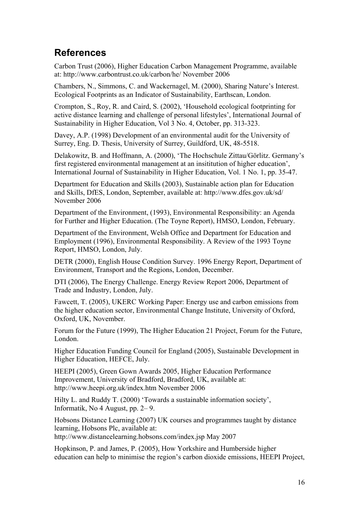## **References**

Carbon Trust (2006), Higher Education Carbon Management Programme, available at: http://www.carbontrust.co.uk/carbon/he/ November 2006

Chambers, N., Simmons, C. and Wackernagel, M. (2000), Sharing Nature's Interest. Ecological Footprints as an Indicator of Sustainability, Earthscan, London.

Crompton, S., Roy, R. and Caird, S. (2002), 'Household ecological footprinting for active distance learning and challenge of personal lifestyles', International Journal of Sustainability in Higher Education, Vol 3 No. 4, October, pp. 313-323.

Davey, A.P. (1998) Development of an environmental audit for the University of Surrey, Eng. D. Thesis, University of Surrey, Guildford, UK, 48-5518.

Delakowitz, B. and Hoffmann, A. (2000), 'The Hochschule Zittau/Görlitz. Germany's first registered environmental management at an insititution of higher education', International Journal of Sustainability in Higher Education, Vol. 1 No. 1, pp. 35-47.

Department for Education and Skills (2003), Sustainable action plan for Education and Skills, DfES, London, September, available at: http://www.dfes.gov.uk/sd/ November 2006

Department of the Environment, (1993), Environmental Responsibility: an Agenda for Further and Higher Education. (The Toyne Report), HMSO, London, February.

Department of the Environment, Welsh Office and Department for Education and Employment (1996), Environmental Responsibility. A Review of the 1993 Toyne Report, HMSO, London, July.

DETR (2000), English House Condition Survey. 1996 Energy Report, Department of Environment, Transport and the Regions, London, December.

DTI (2006), The Energy Challenge. Energy Review Report 2006, Department of Trade and Industry, London, July.

Fawcett, T. (2005), UKERC Working Paper: Energy use and carbon emissions from the higher education sector, Environmental Change Institute, University of Oxford, Oxford, UK, November.

Forum for the Future (1999), The Higher Education 21 Project, Forum for the Future, London.

Higher Education Funding Council for England (2005), Sustainable Development in Higher Education, HEFCE, July.

HEEPI (2005), Green Gown Awards 2005, Higher Education Performance Improvement, University of Bradford, Bradford, UK, available at: http://www.heepi.org.uk/index.htm November 2006

Hilty L. and Ruddy T. (2000) 'Towards a sustainable information society', Informatik, No 4 August, pp. 2– 9.

Hobsons Distance Learning (2007) UK courses and programmes taught by distance learning, Hobsons Plc, available at:

http://www.distancelearning.hobsons.com/index.jsp May 2007

Hopkinson, P. and James, P. (2005), How Yorkshire and Humberside higher education can help to minimise the region's carbon dioxide emissions, HEEPI Project,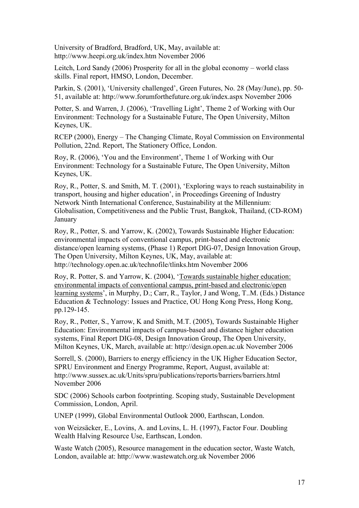University of Bradford, Bradford, UK, May, available at: http://www.heepi.org.uk/index.htm November 2006

Leitch, Lord Sandy (2006) Prosperity for all in the global economy – world class skills. Final report, HMSO, London, December.

Parkin, S. (2001), 'University challenged', Green Futures, No. 28 (May/June), pp. 50- 51, available at: http://www.forumforthefuture.org.uk/index.aspx November 2006

Potter, S. and Warren, J. (2006), 'Travelling Light', Theme 2 of Working with Our Environment: Technology for a Sustainable Future, The Open University, Milton Keynes, UK.

RCEP (2000), Energy – The Changing Climate, Royal Commission on Environmental Pollution, 22nd. Report, The Stationery Office, London.

Roy, R. (2006), 'You and the Environment', Theme 1 of Working with Our Environment: Technology for a Sustainable Future, The Open University, Milton Keynes, UK.

Roy, R., Potter, S. and Smith, M. T. (2001), 'Exploring ways to reach sustainability in transport, housing and higher education', in Proceedings Greening of Industry Network Ninth International Conference, Sustainability at the Millennium: Globalisation, Competitiveness and the Public Trust, Bangkok, Thailand, (CD-ROM) January

Roy, R., Potter, S. and Yarrow, K. (2002), Towards Sustainable Higher Education: environmental impacts of conventional campus, print-based and electronic distance/open learning systems, (Phase 1) Report DIG-07, Design Innovation Group, The Open University, Milton Keynes, UK, May, available at: http://technology.open.ac.uk/technofile/tlinks.htm November 2006

Roy, R. Potter, S. and Yarrow, K. (2004), 'Towards sustainable higher education: environmental impacts of conventional campus, print-based and electronic/open learning systems', in Murphy, D.; Carr, R., Taylor, J and Wong, T..M. (Eds.) Distance Education & Technology: Issues and Practice, OU Hong Kong Press, Hong Kong, pp.129-145.

Roy, R., Potter, S., Yarrow, K and Smith, M.T. (2005), Towards Sustainable Higher Education: Environmental impacts of campus-based and distance higher education systems, Final Report DIG-08, Design Innovation Group, The Open University, Milton Keynes, UK, March, available at: http://design.open.ac.uk November 2006

Sorrell, S. (2000), Barriers to energy efficiency in the UK Higher Education Sector, SPRU Environment and Energy Programme, Report, August, available at: http://www.sussex.ac.uk/Units/spru/publications/reports/barriers/barriers.html November 2006

SDC (2006) Schools carbon footprinting. Scoping study, Sustainable Development Commission, London, April.

UNEP (1999), Global Environmental Outlook 2000, Earthscan, London.

von Weizsäcker, E., Lovins, A. and Lovins, L. H. (1997), Factor Four. Doubling Wealth Halving Resource Use, Earthscan, London.

Waste Watch (2005), Resource management in the education sector, Waste Watch, London, available at: http://www.wastewatch.org.uk November 2006